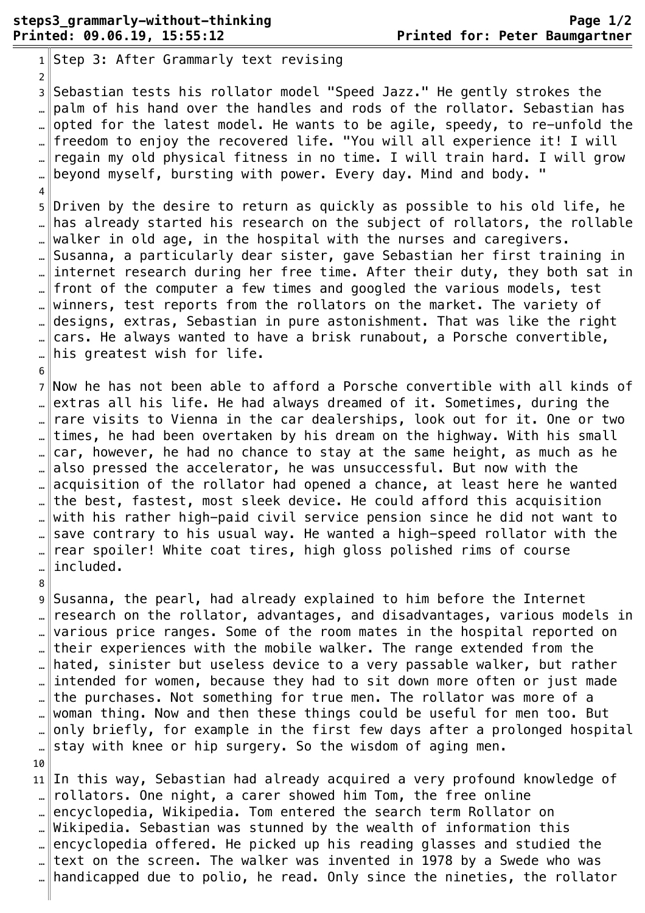$1$ Step 3: After Grammarly text revising 2 ¬ 3 Sebastian tests his rollator model "Speed Jazz." He gently strokes the .. $\parallel$ palm of his hand over the handles and rods of the rollator. Sebastian has opted for the latest model. He wants to be agile, speedy, to re-unfold the freedom to enjoy the recovered life. "You will all experience it! I will regain my old physical fitness in no time. I will train hard. I will grow … beyond myself, bursting with power. Every day. Mind and body. "  $\overline{4}$ 5 Driven by the desire to return as quickly as possible to his old life, he … has already started his research on the subject of rollators, the rollable walker in old age, in the hospital with the nurses and caregivers. Susanna, a particularly dear sister, gave Sebastian her first training in … internet research during her free time. After their duty, they both sat in front of the computer a few times and googled the various models, test winners, test reports from the rollators on the market. The variety of … designs, extras, Sebastian in pure astonishment. That was like the right cars. He always wanted to have a brisk runabout, a Porsche convertible,  $\mathbb{L}$  his greatest wish for life. 6 ¬ 7 Now he has not been able to afford a Porsche convertible with all kinds of extras all his life. He had always dreamed of it. Sometimes, during the ... rare visits to Vienna in the car dealerships, look out for it. One or two times, he had been overtaken by his dream on the highway. With his small . car, however, he had no chance to stay at the same height, as much as he also pressed the accelerator, he was unsuccessful. But now with the . acquisition of the rollator had opened a chance, at least here he wanted .. $\|$ the best, fastest, most sleek device. He could afford this acquisition with his rather high-paid civil service pension since he did not want to .. save contrary to his usual way. He wanted a high-speed rollator with the rear spoiler! White coat tires, high gloss polished rims of course included. 8 ¬ 9 Susanna, the pearl, had already explained to him before the Internet  $\lbrack \bot \rbrack$  research on the rollator, advantages, and disadvantages, various models in various price ranges. Some of the room mates in the hospital reported on … their experiences with the mobile walker. The range extended from the hated, sinister but useless device to a very passable walker, but rather intended for women, because they had to sit down more often or just made … $\|$ the purchases. Not something for true men. The rollator was more of a woman thing. Now and then these things could be useful for men too. But only briefly, for example in the first few days after a prolonged hospital … stay with knee or hip surgery. So the wisdom of aging men. 10 ¬ 11 In this way, Sebastian had already acquired a very profound knowledge of  $\|$  rollators. One night, a carer showed him Tom, the free online encyclopedia, Wikipedia. Tom entered the search term Rollator on Wikipedia. Sebastian was stunned by the wealth of information this . encyclopedia offered. He picked up his reading glasses and studied the text on the screen. The walker was invented in 1978 by a Swede who was

… handicapped due to polio, he read. Only since the nineties, the rollator